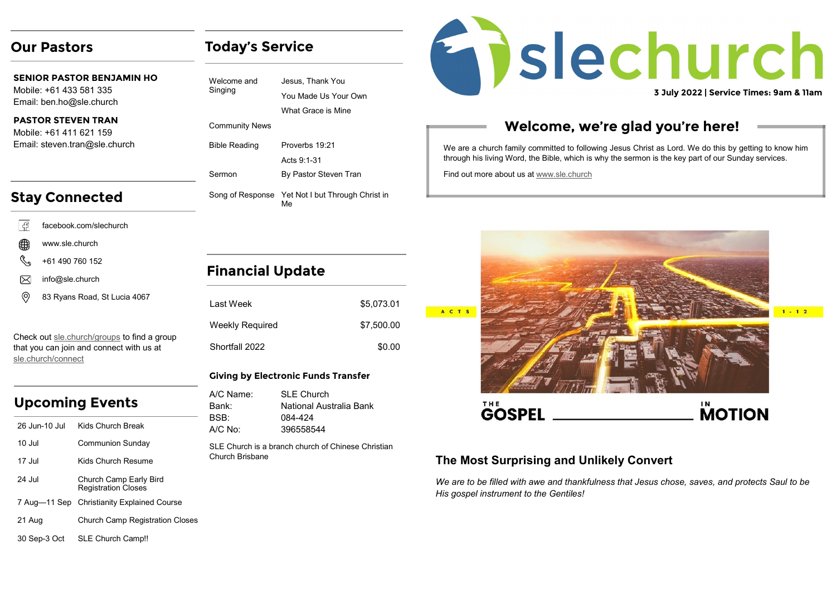## **Our Pastors**

**SENIOR PASTOR BENJAMIN HO** Mobile: +61 433 581 335 Email: ben.ho@sle.church

#### **PASTOR STEVEN TRAN**

Mobile: +61 411 621 159 Email: steven.tran@sle.church

# **Stay Connected**

- facebook.com/slechurch l G
- ∰ www.sle.church
- +61 490 760 152
- info@sle.church ⋉
- ⊚ 83 Ryans Road, St Lucia 4067

Check out [sle.church/groups](https://sle.church/groups) to find a group that you can join and connect with us at [sle.church/connect](https://sle.church/connect)

# **Upcoming Events**

| 26 Jun-10 Jul | Kids Church Break                                    |
|---------------|------------------------------------------------------|
| $10.$ Jul     | <b>Communion Sunday</b>                              |
| 17 Jul        | Kids Church Resume                                   |
| 24 Jul        | Church Camp Early Bird<br><b>Registration Closes</b> |
|               | 7 Aug-11 Sep Christianity Explained Course           |
| 21 Aug        | <b>Church Camp Registration Closes</b>               |
|               |                                                      |

#### 30 Sep-3 Oct SLE Church Camp!!

| Welcome and<br>Singing | Jesus, Thank You                                       |
|------------------------|--------------------------------------------------------|
|                        | You Made Us Your Own                                   |
|                        | What Grace is Mine                                     |
| <b>Community News</b>  |                                                        |
| <b>Bible Reading</b>   | Proverbs 19:21                                         |
|                        | Acts 9:1-31                                            |
| Sermon                 | By Pastor Steven Tran                                  |
|                        | Song of Response Yet Not I but Through Christ in<br>Мe |

**Today's Service**

# **Financial Update**

| I ast Week      | \$5.073.01 |
|-----------------|------------|
| Weekly Required | \$7,500.00 |
| Shortfall 2022  | \$0.00     |

#### **Giving by Electronic Funds Transfer**

| A/C Name: | <b>SLE Church</b>       |
|-----------|-------------------------|
| Bank:     | National Australia Bank |
| BSB:      | 084-424                 |
| $A/C$ No: | 396558544               |
|           |                         |

SLE Church is a branch church of Chinese Christian Church Brisbane



# **Welcome, we're glad you're here!**

We are a church family committed to following Jesus Christ as Lord. We do this by getting to know him through his living Word, the Bible, which is why the sermon is the key part of our Sunday services.

Find out more about us at [www.sle.church](https://sle.church/)



## **The Most Surprising and Unlikely Convert**

*We are to be filled with awe and thankfulness that Jesus chose, saves, and protects Saul to be His gospel instrument to the Gentiles!*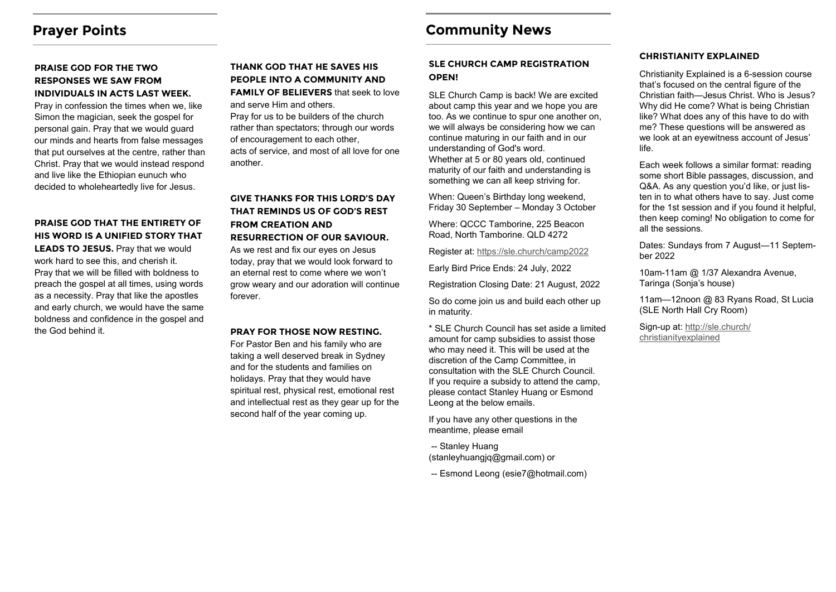# **Prayer Points**

#### **PRAISE GOD FOR THE TWO RESPONSES WE SAW FROM INDIVIDUALS IN ACTS LAST WEEK.**

Pray in confession the times when we, like Simon the magician, seek the gospel for personal gain. Pray that we would guard our minds and hearts from false messages that put ourselves at the centre, rather than Christ. Pray that we would instead respond and live like the Ethiopian eunuch who decided to wholeheartedly live for Jesus.

### **PRAISE GOD THAT THE ENTIRETY OF HIS WORD IS A UNIFIED STORY THAT LEADS TO JESUS.** Pray that we would work hard to see this, and cherish it.

Pray that we will be filled with boldness to preach the gospel at all times, using words as a necessity. Pray that like the apostles and early church, we would have the same boldness and confidence in the gospel and the God behind it.

### **THANK GOD THAT HE SAVES HIS PEOPLE INTO A COMMUNITY AND FAMILY OF BELIEVERS** that seek to love

and serve Him and others.

Pray for us to be builders of the church rather than spectators; through our words of encouragement to each other, acts of service, and most of all love for one another.

#### **GIVE THANKS FOR THIS LORD'S DAY THAT REMINDS US OF GOD'S REST FROM CREATION AND RESURRECTION OF OUR SAVIOUR.**

As we rest and fix our eyes on Jesus today, pray that we would look forward to an eternal rest to come where we won't grow weary and our adoration will continue forever.

#### **PRAY FOR THOSE NOW RESTING.**

For Pastor Ben and his family who are taking a well deserved break in Sydney and for the students and families on holidays. Pray that they would have spiritual rest, physical rest, emotional rest and intellectual rest as they gear up for the second half of the year coming up.

# **Community News**

#### **SLE CHURCH CAMP REGISTRATION OPEN!**

SLE Church Camp is back! We are excited about camp this year and we hope you are too. As we continue to spur one another on, we will always be considering how we can continue maturing in our faith and in our understanding of God's word. Whether at 5 or 80 years old, continued maturity of our faith and understanding is something we can all keep striving for.

When: Queen's Birthday long weekend, Friday 30 September – Monday 3 October

Where: QCCC Tamborine, 225 Beacon Road, North Tamborine. QLD 4272

Register at:<https://sle.church/camp2022>

Early Bird Price Ends: 24 July, 2022

Registration Closing Date: 21 August, 2022

So do come join us and build each other up in maturity.

\* SLE Church Council has set aside a limited amount for camp subsidies to assist those who may need it. This will be used at the discretion of the Camp Committee, in consultation with the SLE Church Council. If you require a subsidy to attend the camp, please contact Stanley Huang or Esmond Leong at the below emails.

If you have any other questions in the meantime, please email

- -- Stanley Huang (stanleyhuangjq@gmail.com) or
- -- Esmond Leong (esie7@hotmail.com)

#### **CHRISTIANITY EXPLAINED**

Christianity Explained is a 6-session course that's focused on the central figure of the Christian faith—Jesus Christ. Who is Jesus? Why did He come? What is being Christian like? What does any of this have to do with me? These questions will be answered as we look at an eyewitness account of Jesus' life.

Each week follows a similar format: reading some short Bible passages, discussion, and Q&A. As any question you'd like, or just listen in to what others have to say. Just come for the 1st session and if you found it helpful, then keep coming! No obligation to come for all the sessions.

Dates: Sundays from 7 August—11 September 2022

10am-11am @ 1/37 Alexandra Avenue, Taringa (Sonja's house)

11am—12noon @ 83 Ryans Road, St Lucia (SLE North Hall Cry Room)

Sign-up at: [http://sle.church/](http://sle.church/christianityexplained) [christianityexplained](http://sle.church/christianityexplained)